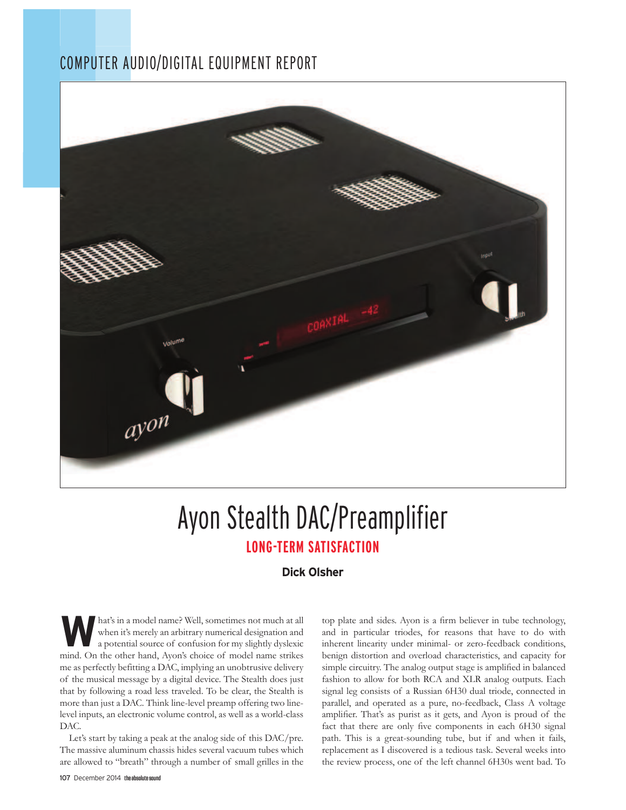### COMPUTER AUDIO/DIGITAL EQUIPMENT REPORT



# Ayon Stealth DAC/Preamplifier **LONG-TERM SATISFACTION**

#### **Dick Olsher**

**W** hat's in a model name? Well, sometimes not much at all when it's merely an arbitrary numerical designation and a potential source of confusion for my slightly dyslexic mind. On the other hand, Ayon's choice of model name strikes me as perfectly befitting a DAC, implying an unobtrusive delivery of the musical message by a digital device. The Stealth does just that by following a road less traveled. To be clear, the Stealth is more than just a DAC. Think line-level preamp offering two linelevel inputs, an electronic volume control, as well as a world-class DAC.

Let's start by taking a peak at the analog side of this DAC/pre. The massive aluminum chassis hides several vacuum tubes which are allowed to "breath" through a number of small grilles in the

107 December 2014 the absolute sound

top plate and sides. Ayon is a firm believer in tube technology, and in particular triodes, for reasons that have to do with inherent linearity under minimal- or zero-feedback conditions, benign distortion and overload characteristics, and capacity for simple circuitry. The analog output stage is amplified in balanced fashion to allow for both RCA and XLR analog outputs. Each signal leg consists of a Russian 6H30 dual triode, connected in parallel, and operated as a pure, no-feedback, Class A voltage amplifier. That's as purist as it gets, and Ayon is proud of the fact that there are only five components in each 6H30 signal path. This is a great-sounding tube, but if and when it fails, replacement as I discovered is a tedious task. Several weeks into the review process, one of the left channel 6H30s went bad. To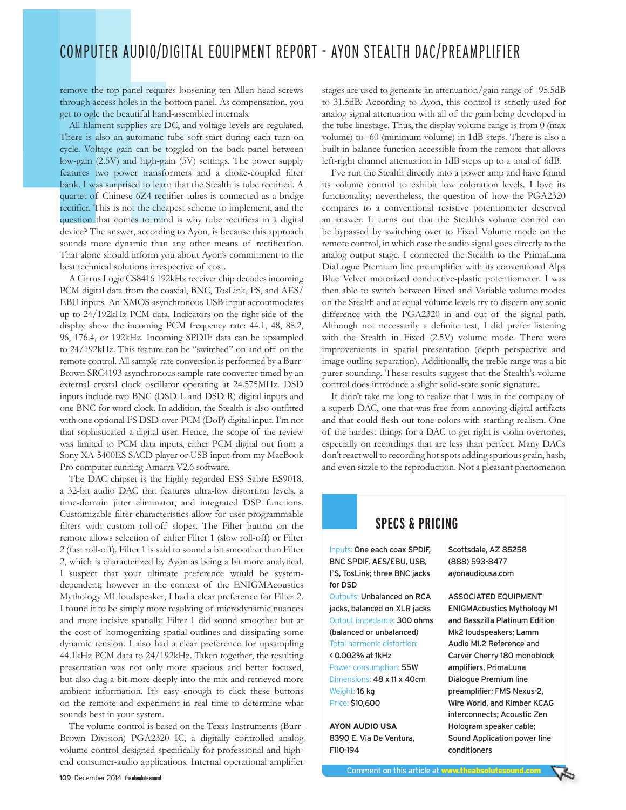## COMPUTER AUDIO/DIGITAL EQUIPMENT REPORT - AYON STEALTH DAC/PREAMPLIFIER

remove the top panel requires loosening ten Allen-head screws through access holes in the bottom panel. As compensation, you get to ogle the beautiful hand-assembled internals.

All filament supplies are DC, and voltage levels are regulated. There is also an automatic tube soft-start during each turn-on cycle. Voltage gain can be toggled on the back panel between low-gain (2.5V) and high-gain (5V) settings. The power supply features two power transformers and a choke-coupled filter bank. I was surprised to learn that the Stealth is tube rectified. A quartet of Chinese 6Z4 rectifier tubes is connected as a bridge rectifier. This is not the cheapest scheme to implement, and the question that comes to mind is why tube rectifiers in a digital device? The answer, according to Ayon, is because this approach sounds more dynamic than any other means of rectification. That alone should inform you about Ayon's commitment to the best technical solutions irrespective of cost.

A Cirrus Logic CS8416 192kHz receiver chip decodes incoming PCM digital data from the coaxial, BNC, TosLink, I'S, and AES/ EBU inputs. An XMOS asynchronous USB input accommodates up to 24/192kHz PCM data. Indicators on the right side of the display show the incoming PCM frequency rate: 44.1, 48, 88.2, 96, 176.4, or 192kHz. Incoming SPDIF data can be upsampled to 24/192kHz. This feature can be "switched" on and off on the remote control. All sample-rate conversion is performed by a Burr-Brown SRC4193 asynchronous sample-rate converter timed by an external crystal clock oscillator operating at 24.575MHz. DSD inputs include two BNC (DSD-L and DSD-R) digital inputs and one BNC for word clock. In addition, the Stealth is also outfitted with one optional I'S DSD-over-PCM (DoP) digital input. I'm not that sophisticated a digital user. Hence, the scope of the review was limited to PCM data inputs, either PCM digital out from a Sony XA-5400ES SACD player or USB input from my MacBook Pro computer running Amarra V2.6 software.

The DAC chipset is the highly regarded ESS Sabre ES9018, a 32-bit audio DAC that features ultra-low distortion levels, a time-domain jitter eliminator, and integrated DSP functions. Customizable filter characteristics allow for user-programmable filters with custom roll-off slopes. The Filter button on the remote allows selection of either Filter 1 (slow roll-off) or Filter 2 (fast roll-off). Filter 1 is said to sound a bit smoother than Filter 2, which is characterized by Ayon as being a bit more analytical. I suspect that your ultimate preference would be systemdependent; however in the context of the ENIGMAcoustics Mythology M1 loudspeaker, I had a clear preference for Filter 2. I found it to be simply more resolving of microdynamic nuances and more incisive spatially. Filter 1 did sound smoother but at the cost of homogenizing spatial outlines and dissipating some dynamic tension. I also had a clear preference for upsampling 44.1kHz PCM data to 24/192kHz. Taken together, the resulting presentation was not only more spacious and better focused, but also dug a bit more deeply into the mix and retrieved more ambient information. It's easy enough to click these buttons on the remote and experiment in real time to determine what sounds best in your system.

The volume control is based on the Texas Instruments (Burr-Brown Division) PGA2320 IC, a digitally controlled analog volume control designed specifically for professional and highend consumer-audio applications. Internal operational amplifier stages are used to generate an attenuation/gain range of -95.5dB to 31.5dB. According to Ayon, this control is strictly used for analog signal attenuation with all of the gain being developed in the tube linestage. Thus, the display volume range is from  $0$  (max volume) to -60 (minimum volume) in 1dB steps. There is also a built-in balance function accessible from the remote that allows left-right channel attenuation in 1dB steps up to a total of 6dB.

I've run the Stealth directly into a power amp and have found its volume control to exhibit low coloration levels. I love its functionality; nevertheless, the question of how the PGA2320 compares to a conventional resistive potentiometer deserved an answer. It turns out that the Stealth's volume control can be bypassed by switching over to Fixed Volume mode on the remote control, in which case the audio signal goes directly to the analog output stage. I connected the Stealth to the PrimaLuna DiaLogue Premium line preamplifier with its conventional Alps Blue Velvet motorized conductive-plastic potentiometer. I was then able to switch between Fixed and Variable volume modes on the Stealth and at equal volume levels try to discern any sonic difference with the PGA2320 in and out of the signal path. Although not necessarily a definite test, I did prefer listening with the Stealth in Fixed (2.5V) volume mode. There were improvements in spatial presentation (depth perspective and image outline separation). Additionally, the treble range was a bit purer sounding. These results suggest that the Stealth's volume control does introduce a slight solid-state sonic signature.

It didn't take me long to realize that I was in the company of a superb DAC, one that was free from annoying digital artifacts and that could flesh out tone colors with startling realism. One of the hardest things for a DAC to get right is violin overtones, especially on recordings that are less than perfect. Many DACs don't react well to recording hot spots adding spurious grain, hash, and even sizzle to the reproduction. Not a pleasant phenomenon

#### **SPECS & PRICING**

Inputs: One each coax SPDIF, BNC SPDIF, AES/EBU, USB, <sup>2</sup>S, TosLink; three BNC jacks for DSD

**Outputs: Unbalanced on RCA** jacks, balanced on XLR jacks Output impedance: 300 ohms (balanced or unbalanced) Total harmonic distortion:

< 0.002% at 1kHz Power consumption: 55W Dimensions: 48 x 11 x 40cm Weight: 16 kg Price: \$10,600

**AYON AUDIO USA** 8390 E. Via De Ventura, F110-194

Scottsdale, AZ 85258 (888) 593-8477 ayonaudiousa.com

**ASSOCIATED EQUIPMENT ENIGMAcoustics Mythology M1** and Basszilla Platinum Edition Mk2 loudspeakers: Lamm Audio M1.2 Reference and Carver Cherry 180 monoblock amplifiers, PrimaLuna Dialogue Premium line preamplifier; FMS Nexus-2, Wire World, and Kimber KCAG interconnects; Acoustic Zen Hologram speaker cable; Sound Application power line conditioners